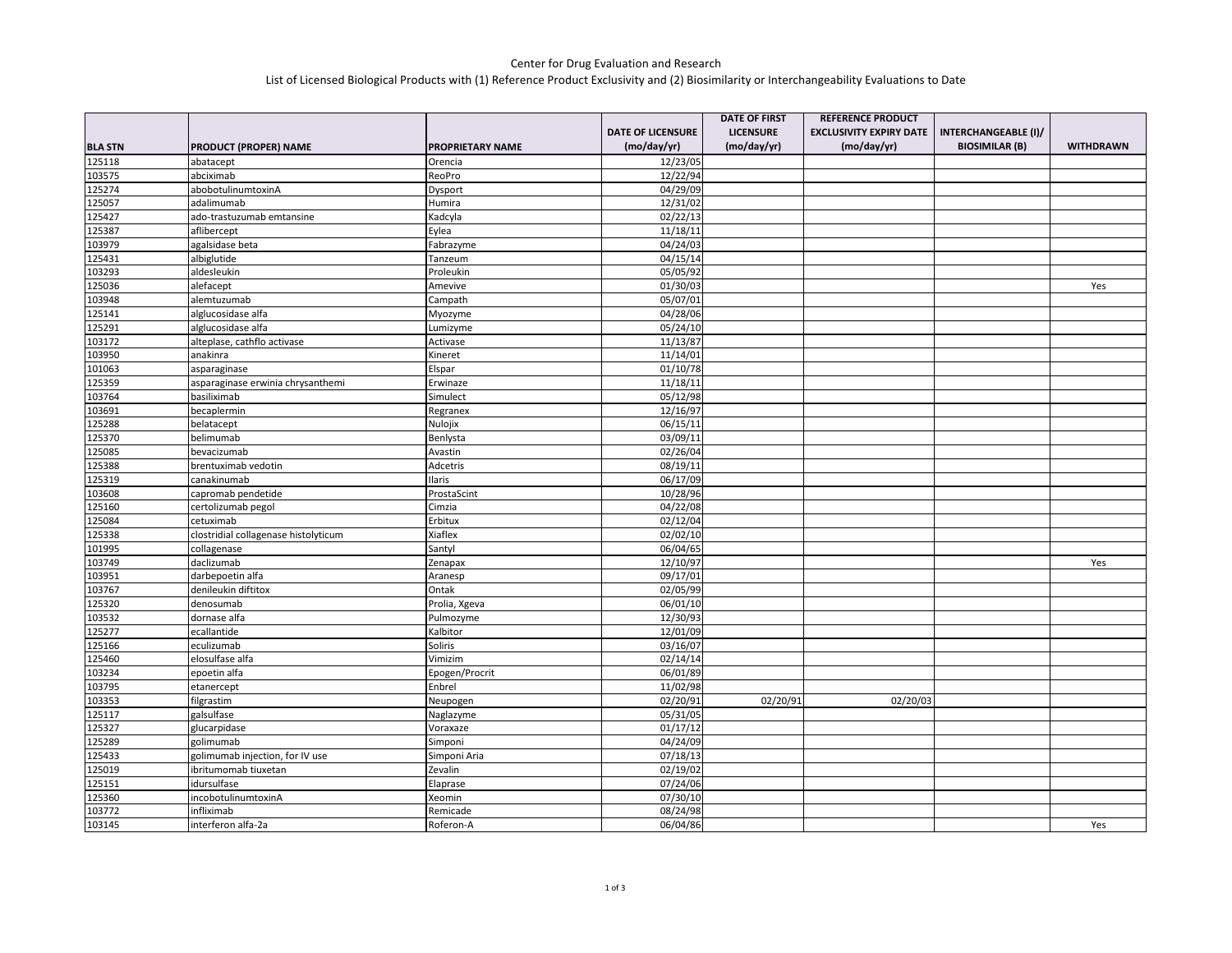## Center for Drug Evaluation and Research List of Licensed Biological Products with (1) Reference Product Exclusivity and (2) Biosimilarity or Interchangeability Evaluations to Date

|                |                                      |                         |                          | <b>DATE OF FIRST</b> | <b>REFERENCE PRODUCT</b>       |                       |                  |
|----------------|--------------------------------------|-------------------------|--------------------------|----------------------|--------------------------------|-----------------------|------------------|
|                |                                      |                         | <b>DATE OF LICENSURE</b> | <b>LICENSURE</b>     | <b>EXCLUSIVITY EXPIRY DATE</b> | INTERCHANGEABLE (I)/  |                  |
| <b>BLA STN</b> | PRODUCT (PROPER) NAME                | <b>PROPRIETARY NAME</b> | (mo/day/yr)              | (mo/day/yr)          | (mo/day/yr)                    | <b>BIOSIMILAR (B)</b> | <b>WITHDRAWN</b> |
| 125118         | abatacept                            | Orencia                 | 12/23/05                 |                      |                                |                       |                  |
| 103575         | abciximab                            | ReoPro                  | 12/22/94                 |                      |                                |                       |                  |
| 125274         | abobotulinumtoxinA                   | Dysport                 | 04/29/09                 |                      |                                |                       |                  |
| 125057         | adalimumab                           | Humira                  | 12/31/02                 |                      |                                |                       |                  |
| 125427         | ado-trastuzumab emtansine            | Kadcyla                 | 02/22/13                 |                      |                                |                       |                  |
| 125387         | aflibercept                          | Eylea                   | 11/18/11                 |                      |                                |                       |                  |
| 103979         | agalsidase beta                      | Fabrazyme               | 04/24/03                 |                      |                                |                       |                  |
| 125431         | albiglutide                          | Tanzeum                 | 04/15/14                 |                      |                                |                       |                  |
| 103293         | aldesleukin                          | Proleukin               | 05/05/92                 |                      |                                |                       |                  |
| 125036         | alefacept                            | Amevive                 | 01/30/03                 |                      |                                |                       | Yes              |
| 103948         | alemtuzumab                          | Campath                 | 05/07/01                 |                      |                                |                       |                  |
| 125141         | alglucosidase alfa                   | Myozyme                 | 04/28/06                 |                      |                                |                       |                  |
| 125291         | alglucosidase alfa                   | Lumizyme                | 05/24/10                 |                      |                                |                       |                  |
| 103172         | alteplase, cathflo activase          | Activase                | 11/13/87                 |                      |                                |                       |                  |
| 103950         | anakinra                             | Kineret                 | 11/14/01                 |                      |                                |                       |                  |
| 101063         | asparaginase                         | Elspar                  | 01/10/78                 |                      |                                |                       |                  |
| 125359         | asparaginase erwinia chrysanthemi    | Erwinaze                | 11/18/11                 |                      |                                |                       |                  |
| 103764         | basiliximab                          | Simulect                | 05/12/98                 |                      |                                |                       |                  |
| 103691         | becaplermin                          | Regranex                | 12/16/97                 |                      |                                |                       |                  |
| 125288         | belatacept                           | Nulojix                 | 06/15/11                 |                      |                                |                       |                  |
| 125370         | belimumab                            | Benlysta                | 03/09/11                 |                      |                                |                       |                  |
| 125085         | bevacizumab                          | Avastin                 | 02/26/04                 |                      |                                |                       |                  |
| 125388         | brentuximab vedotin                  | Adcetris                | 08/19/11                 |                      |                                |                       |                  |
| 125319         | canakinumab                          | <b>Ilaris</b>           | 06/17/09                 |                      |                                |                       |                  |
| 103608         | capromab pendetide                   | ProstaScint             | 10/28/96                 |                      |                                |                       |                  |
| 125160         | certolizumab pegol                   | Cimzia                  | 04/22/08                 |                      |                                |                       |                  |
| 125084         | cetuximab                            | Erbitux                 | 02/12/04                 |                      |                                |                       |                  |
| 125338         | clostridial collagenase histolyticum | Xiaflex                 | 02/02/10                 |                      |                                |                       |                  |
| 101995         | collagenase                          | Santyl                  | 06/04/65                 |                      |                                |                       |                  |
| 103749         | daclizumab                           | Zenapax                 | 12/10/97                 |                      |                                |                       | Yes              |
| 103951         | darbepoetin alfa                     | Aranesp                 | 09/17/01                 |                      |                                |                       |                  |
| 103767         | denileukin diftitox                  | Ontak                   | 02/05/99                 |                      |                                |                       |                  |
| 125320         | denosumab                            | Prolia, Xgeva           | 06/01/10                 |                      |                                |                       |                  |
| 103532         | dornase alfa                         | Pulmozyme               | 12/30/93                 |                      |                                |                       |                  |
| 125277         | ecallantide                          | Kalbitor                | 12/01/09                 |                      |                                |                       |                  |
| 125166         | eculizumab                           | Soliris                 | 03/16/07                 |                      |                                |                       |                  |
| 125460         | elosulfase alfa                      | Vimizim                 | 02/14/14                 |                      |                                |                       |                  |
| 103234         | epoetin alfa                         | Epogen/Procrit          | 06/01/89                 |                      |                                |                       |                  |
| 103795         | etanercept                           | Enbrel                  | 11/02/98                 |                      |                                |                       |                  |
| 103353         | filgrastim                           | Neupogen                | 02/20/91                 | 02/20/91             | 02/20/03                       |                       |                  |
| 125117         | galsulfase                           | Naglazyme               | 05/31/05                 |                      |                                |                       |                  |
| 125327         | glucarpidase                         | Voraxaze                | 01/17/12                 |                      |                                |                       |                  |
| 125289         | golimumab                            | Simponi                 | 04/24/09                 |                      |                                |                       |                  |
| 125433         | golimumab injection, for IV use      | Simponi Aria            | 07/18/13                 |                      |                                |                       |                  |
| 125019         | ibritumomab tiuxetan                 | Zevalin                 | 02/19/02                 |                      |                                |                       |                  |
| 125151         | idursulfase                          | Elaprase                | 07/24/06                 |                      |                                |                       |                  |
| 125360         | incobotulinumtoxinA                  | Xeomin                  | 07/30/10                 |                      |                                |                       |                  |
| 103772         | infliximab                           | Remicade                | 08/24/98                 |                      |                                |                       |                  |
| 103145         | interferon alfa-2a                   | Roferon-A               | 06/04/86                 |                      |                                |                       | Yes              |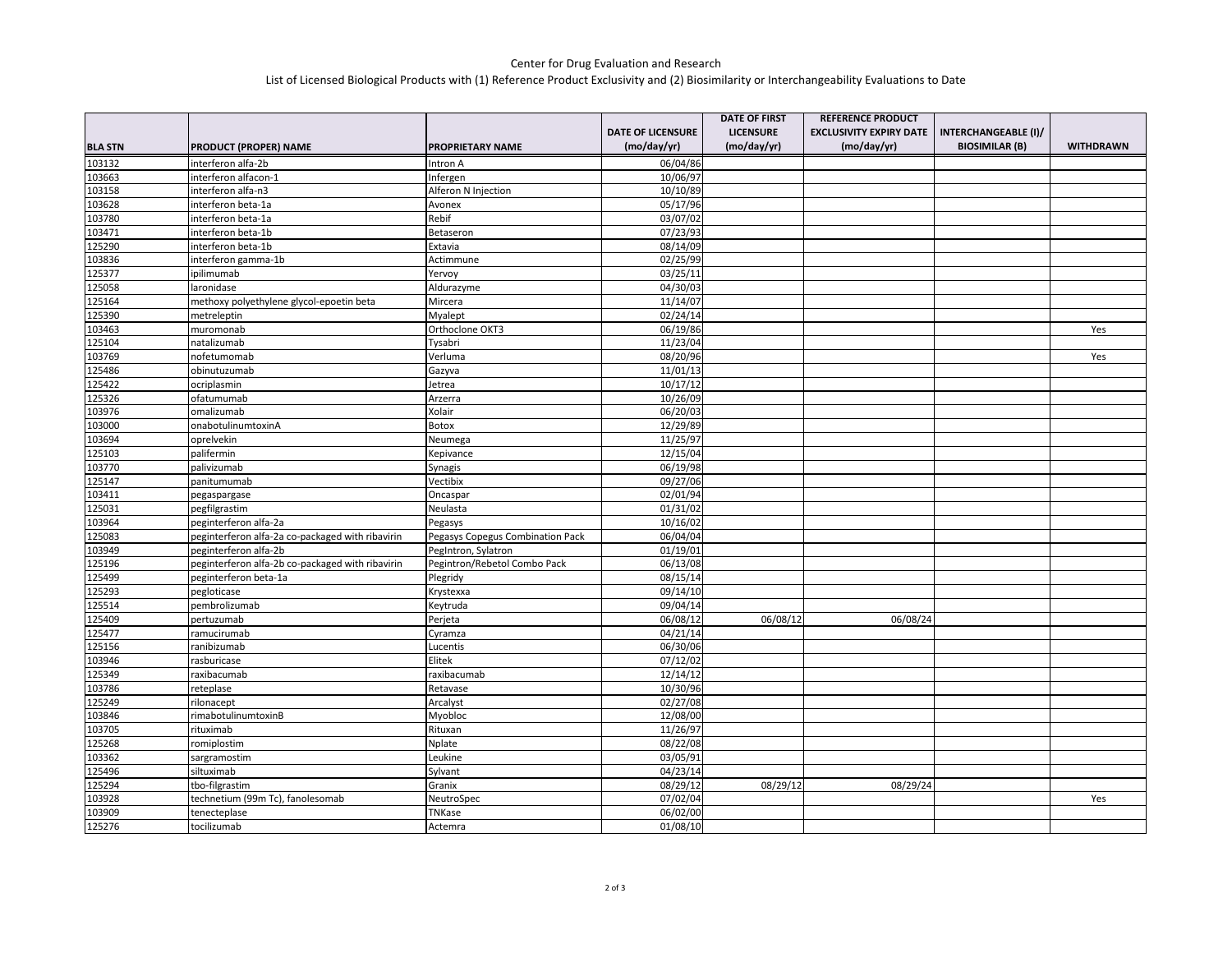## Center for Drug Evaluation and Research List of Licensed Biological Products with (1) Reference Product Exclusivity and (2) Biosimilarity or Interchangeability Evaluations to Date

|                |                                                  |                                  |                          | <b>DATE OF FIRST</b> | <b>REFERENCE PRODUCT</b>       |                             |                  |
|----------------|--------------------------------------------------|----------------------------------|--------------------------|----------------------|--------------------------------|-----------------------------|------------------|
|                |                                                  |                                  | <b>DATE OF LICENSURE</b> | <b>LICENSURE</b>     | <b>EXCLUSIVITY EXPIRY DATE</b> | <b>INTERCHANGEABLE (I)/</b> |                  |
| <b>BLA STN</b> | <b>PRODUCT (PROPER) NAME</b>                     | <b>PROPRIETARY NAME</b>          | (mo/day/yr)              | (mo/day/yr)          | (mo/day/yr)                    | <b>BIOSIMILAR (B)</b>       | <b>WITHDRAWN</b> |
| 103132         | interferon alfa-2b                               | Intron A                         | 06/04/86                 |                      |                                |                             |                  |
| 103663         | interferon alfacon-1                             | Infergen                         | 10/06/97                 |                      |                                |                             |                  |
| 103158         | interferon alfa-n3                               | Alferon N Injection              | 10/10/89                 |                      |                                |                             |                  |
| 103628         | interferon beta-1a                               | Avonex                           | 05/17/96                 |                      |                                |                             |                  |
| 103780         | interferon beta-1a                               | Rebif                            | 03/07/02                 |                      |                                |                             |                  |
| 103471         | interferon beta-1b                               | Betaseron                        | 07/23/93                 |                      |                                |                             |                  |
| 125290         | interferon beta-1b                               | Extavia                          | 08/14/09                 |                      |                                |                             |                  |
| 103836         | interferon gamma-1b                              | Actimmune                        | 02/25/99                 |                      |                                |                             |                  |
| 125377         | ipilimumab                                       | Yervoy                           | 03/25/11                 |                      |                                |                             |                  |
| 125058         | laronidase                                       | Aldurazyme                       | 04/30/03                 |                      |                                |                             |                  |
| 125164         | methoxy polyethylene glycol-epoetin beta         | Mircera                          | 11/14/07                 |                      |                                |                             |                  |
| 125390         | metreleptin                                      | Myalept                          | 02/24/14                 |                      |                                |                             |                  |
| 103463         | muromonab                                        | Orthoclone OKT3                  | 06/19/86                 |                      |                                |                             | Yes              |
| 125104         | natalizumab                                      | Tysabri                          | 11/23/04                 |                      |                                |                             |                  |
| 103769         | nofetumomab                                      | Verluma                          | 08/20/96                 |                      |                                |                             | Yes              |
| 125486         | obinutuzumab                                     | Gazyva                           | 11/01/13                 |                      |                                |                             |                  |
| 125422         | ocriplasmin                                      | Jetrea                           | 10/17/12                 |                      |                                |                             |                  |
| 125326         | ofatumumab                                       | Arzerra                          | 10/26/09                 |                      |                                |                             |                  |
| 103976         | omalizumab                                       | Xolair                           | 06/20/03                 |                      |                                |                             |                  |
| 103000         | onabotulinumtoxinA                               | Botox                            | 12/29/89                 |                      |                                |                             |                  |
| 103694         | oprelvekin                                       | Neumega                          | 11/25/97                 |                      |                                |                             |                  |
| 125103         | palifermin                                       | Kepivance                        | 12/15/04                 |                      |                                |                             |                  |
| 103770         | palivizumab                                      | Synagis                          | 06/19/98                 |                      |                                |                             |                  |
| 125147         | panitumumab                                      | Vectibix                         | 09/27/06                 |                      |                                |                             |                  |
| 103411         | pegaspargase                                     | Oncaspar                         | 02/01/94                 |                      |                                |                             |                  |
| 125031         | pegfilgrastim                                    | Neulasta                         | 01/31/02                 |                      |                                |                             |                  |
| 103964         | peginterferon alfa-2a                            | Pegasys                          | 10/16/02                 |                      |                                |                             |                  |
| 125083         | peginterferon alfa-2a co-packaged with ribavirin | Pegasys Copegus Combination Pack | 06/04/04                 |                      |                                |                             |                  |
| 103949         | peginterferon alfa-2b                            | PegIntron, Sylatron              | 01/19/01                 |                      |                                |                             |                  |
| 125196         | peginterferon alfa-2b co-packaged with ribavirin | Pegintron/Rebetol Combo Pack     | 06/13/08                 |                      |                                |                             |                  |
| 125499         | peginterferon beta-1a                            | Plegridy                         | 08/15/14                 |                      |                                |                             |                  |
| 125293         | pegloticase                                      | Krystexxa                        | 09/14/10                 |                      |                                |                             |                  |
| 125514         | pembrolizumab                                    | Keytruda                         | 09/04/14                 |                      |                                |                             |                  |
| 125409         | pertuzumab                                       | Perjeta                          | 06/08/12                 | 06/08/12             | 06/08/24                       |                             |                  |
| 125477         | ramucirumab                                      | Cyramza                          | 04/21/14                 |                      |                                |                             |                  |
| 125156         | ranibizumab                                      | Lucentis                         | 06/30/06                 |                      |                                |                             |                  |
| 103946         | rasburicase                                      | Elitek                           | 07/12/02                 |                      |                                |                             |                  |
| 125349         | raxibacumab                                      | raxibacumab                      | 12/14/12                 |                      |                                |                             |                  |
| 103786         | reteplase                                        | Retavase                         | 10/30/96                 |                      |                                |                             |                  |
| 125249         | rilonacept                                       | Arcalyst                         | 02/27/08                 |                      |                                |                             |                  |
| 103846         | rimabotulinumtoxinB                              | Myobloc                          | 12/08/00                 |                      |                                |                             |                  |
| 103705         | rituximab                                        | Rituxan                          | 11/26/97                 |                      |                                |                             |                  |
| 125268         | romiplostim                                      | Nplate                           | 08/22/08                 |                      |                                |                             |                  |
| 103362         | sargramostim                                     | Leukine                          | 03/05/91                 |                      |                                |                             |                  |
| 125496         | siltuximab                                       | Sylvant                          | 04/23/14                 |                      |                                |                             |                  |
| 125294         | tbo-filgrastim                                   | Granix                           | 08/29/12                 | 08/29/12             | 08/29/24                       |                             |                  |
| 103928         | technetium (99m Tc), fanolesomab                 | NeutroSpec                       | 07/02/04                 |                      |                                |                             | Yes              |
| 103909         | tenecteplase                                     | TNKase                           | 06/02/00                 |                      |                                |                             |                  |
| 125276         | tocilizumab                                      | Actemra                          | 01/08/10                 |                      |                                |                             |                  |